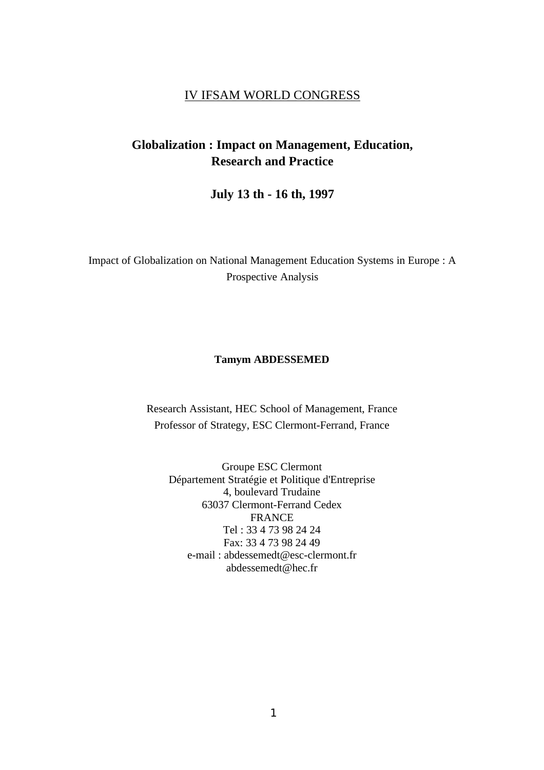## IV IFSAM WORLD CONGRESS

## **Globalization : Impact on Management, Education, Research and Practice**

**July 13 th - 16 th, 1997**

Impact of Globalization on National Management Education Systems in Europe : A Prospective Analysis

#### **Tamym ABDESSEMED**

Research Assistant, HEC School of Management, France Professor of Strategy, ESC Clermont-Ferrand, France

Groupe ESC Clermont Département Stratégie et Politique d'Entreprise 4, boulevard Trudaine 63037 Clermont-Ferrand Cedex FRANCE Tel : 33 4 73 98 24 24 Fax: 33 4 73 98 24 49 e-mail : abdessemedt@esc-clermont.fr abdessemedt@hec.fr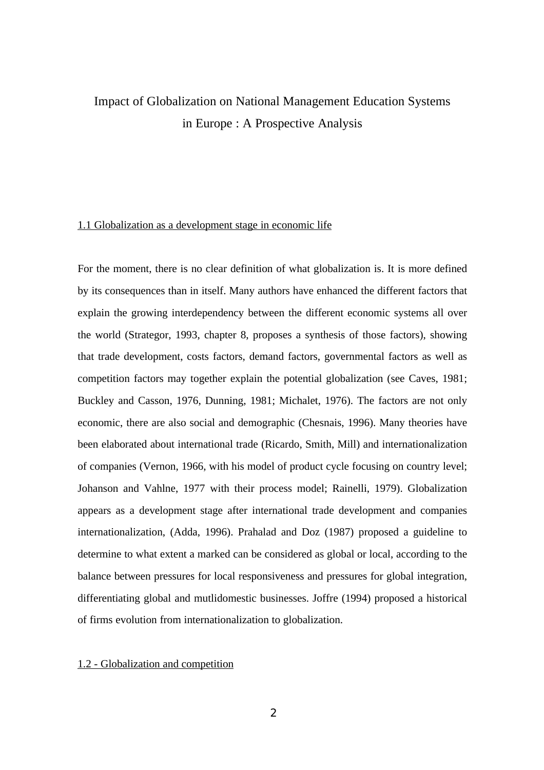# Impact of Globalization on National Management Education Systems in Europe : A Prospective Analysis

### 1.1 Globalization as a development stage in economic life

For the moment, there is no clear definition of what globalization is. It is more defined by its consequences than in itself. Many authors have enhanced the different factors that explain the growing interdependency between the different economic systems all over the world (Strategor, 1993, chapter 8, proposes a synthesis of those factors), showing that trade development, costs factors, demand factors, governmental factors as well as competition factors may together explain the potential globalization (see Caves, 1981; Buckley and Casson, 1976, Dunning, 1981; Michalet, 1976). The factors are not only economic, there are also social and demographic (Chesnais, 1996). Many theories have been elaborated about international trade (Ricardo, Smith, Mill) and internationalization of companies (Vernon, 1966, with his model of product cycle focusing on country level; Johanson and Vahlne, 1977 with their process model; Rainelli, 1979). Globalization appears as a development stage after international trade development and companies internationalization, (Adda, 1996). Prahalad and Doz (1987) proposed a guideline to determine to what extent a marked can be considered as global or local, according to the balance between pressures for local responsiveness and pressures for global integration, differentiating global and mutlidomestic businesses. Joffre (1994) proposed a historical of firms evolution from internationalization to globalization.

#### 1.2 - Globalization and competition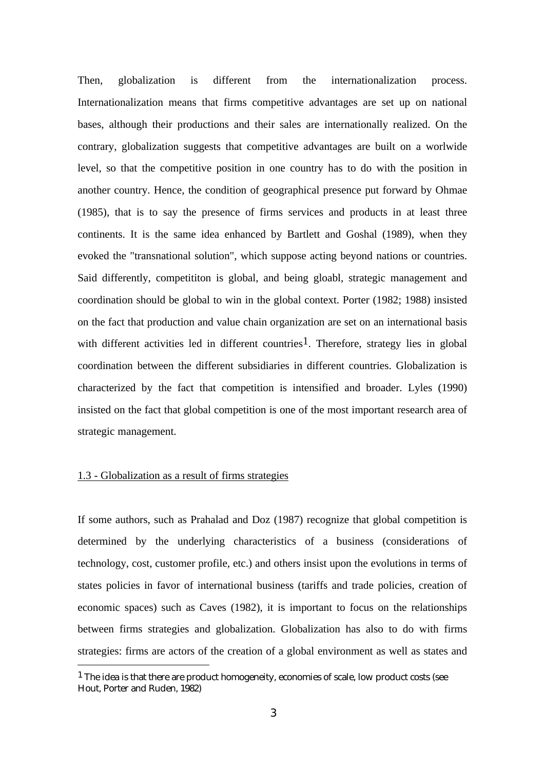Then, globalization is different from the internationalization process. Internationalization means that firms competitive advantages are set up on national bases, although their productions and their sales are internationally realized. On the contrary, globalization suggests that competitive advantages are built on a worlwide level, so that the competitive position in one country has to do with the position in another country. Hence, the condition of geographical presence put forward by Ohmae (1985), that is to say the presence of firms services and products in at least three continents. It is the same idea enhanced by Bartlett and Goshal (1989), when they evoked the "transnational solution", which suppose acting beyond nations or countries. Said differently, competititon is global, and being gloabl, strategic management and coordination should be global to win in the global context. Porter (1982; 1988) insisted on the fact that production and value chain organization are set on an international basis with different activities led in different countries<sup>1</sup>. Therefore, strategy lies in global coordination between the different subsidiaries in different countries. Globalization is characterized by the fact that competition is intensified and broader. Lyles (1990) insisted on the fact that global competition is one of the most important research area of strategic management.

## 1.3 - Globalization as a result of firms strategies

-

If some authors, such as Prahalad and Doz (1987) recognize that global competition is determined by the underlying characteristics of a business (considerations of technology, cost, customer profile, etc.) and others insist upon the evolutions in terms of states policies in favor of international business (tariffs and trade policies, creation of economic spaces) such as Caves (1982), it is important to focus on the relationships between firms strategies and globalization. Globalization has also to do with firms strategies: firms are actors of the creation of a global environment as well as states and

 $<sup>1</sup>$  The idea is that there are product homogeneity, economies of scale, low product costs (see</sup> Hout, Porter and Ruden, 1982)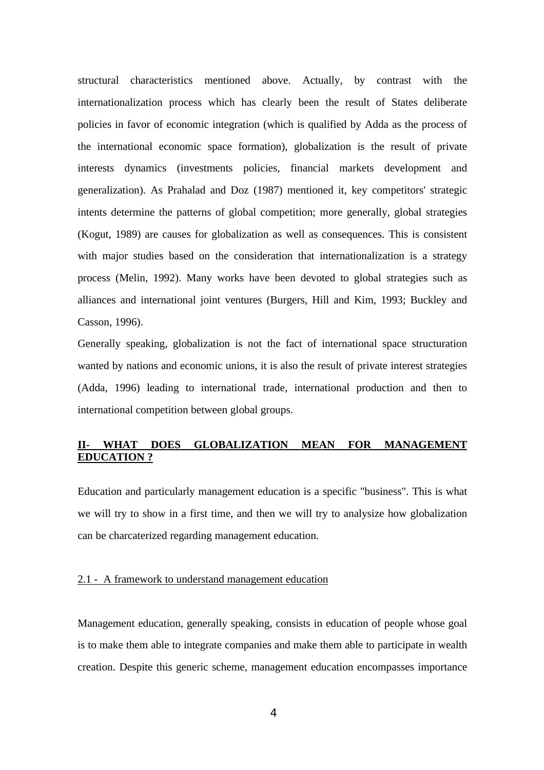structural characteristics mentioned above. Actually, by contrast with the internationalization process which has clearly been the result of States deliberate policies in favor of economic integration (which is qualified by Adda as the process of the international economic space formation), globalization is the result of private interests dynamics (investments policies, financial markets development and generalization). As Prahalad and Doz (1987) mentioned it, key competitors' strategic intents determine the patterns of global competition; more generally, global strategies (Kogut, 1989) are causes for globalization as well as consequences. This is consistent with major studies based on the consideration that internationalization is a strategy process (Melin, 1992). Many works have been devoted to global strategies such as alliances and international joint ventures (Burgers, Hill and Kim, 1993; Buckley and Casson, 1996).

Generally speaking, globalization is not the fact of international space structuration wanted by nations and economic unions, it is also the result of private interest strategies (Adda, 1996) leading to international trade, international production and then to international competition between global groups.

## **IIOES GLOBALIZATION MEAN FOR MANAGEMENT EDUCATION ?**

Education and particularly management education is a specific "business". This is what we will try to show in a first time, and then we will try to analysize how globalization can be charcaterized regarding management education.

#### 2.1 - A framework to understand management education

Management education, generally speaking, consists in education of people whose goal is to make them able to integrate companies and make them able to participate in wealth creation. Despite this generic scheme, management education encompasses importance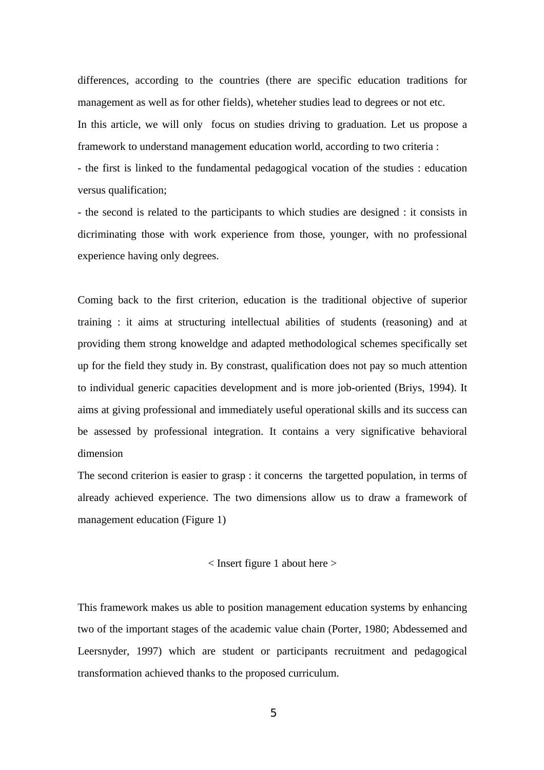differences, according to the countries (there are specific education traditions for management as well as for other fields), wheteher studies lead to degrees or not etc. In this article, we will only focus on studies driving to graduation. Let us propose a framework to understand management education world, according to two criteria :

- the first is linked to the fundamental pedagogical vocation of the studies : education versus qualification;

- the second is related to the participants to which studies are designed : it consists in dicriminating those with work experience from those, younger, with no professional experience having only degrees.

Coming back to the first criterion, education is the traditional objective of superior training : it aims at structuring intellectual abilities of students (reasoning) and at providing them strong knoweldge and adapted methodological schemes specifically set up for the field they study in. By constrast, qualification does not pay so much attention to individual generic capacities development and is more job-oriented (Briys, 1994). It aims at giving professional and immediately useful operational skills and its success can be assessed by professional integration. It contains a very significative behavioral dimension

The second criterion is easier to grasp : it concerns the targetted population, in terms of already achieved experience. The two dimensions allow us to draw a framework of management education (Figure 1)

#### $\langle$  Insert figure 1 about here  $>$

This framework makes us able to position management education systems by enhancing two of the important stages of the academic value chain (Porter, 1980; Abdessemed and Leersnyder, 1997) which are student or participants recruitment and pedagogical transformation achieved thanks to the proposed curriculum.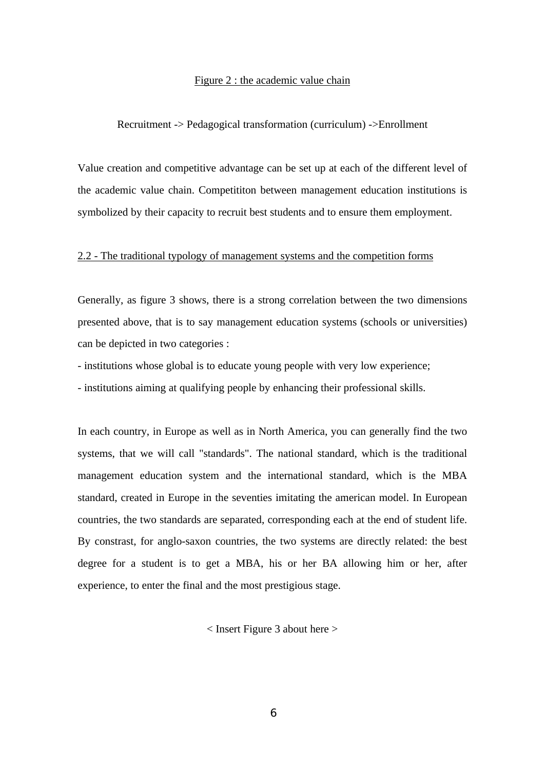#### Figure 2 : the academic value chain

#### Recruitment -> Pedagogical transformation (curriculum) ->Enrollment

Value creation and competitive advantage can be set up at each of the different level of the academic value chain. Competititon between management education institutions is symbolized by their capacity to recruit best students and to ensure them employment.

### 2.2 - The traditional typology of management systems and the competition forms

Generally, as figure 3 shows, there is a strong correlation between the two dimensions presented above, that is to say management education systems (schools or universities) can be depicted in two categories :

- institutions whose global is to educate young people with very low experience;

- institutions aiming at qualifying people by enhancing their professional skills.

In each country, in Europe as well as in North America, you can generally find the two systems, that we will call "standards". The national standard, which is the traditional management education system and the international standard, which is the MBA standard, created in Europe in the seventies imitating the american model. In European countries, the two standards are separated, corresponding each at the end of student life. By constrast, for anglo-saxon countries, the two systems are directly related: the best degree for a student is to get a MBA, his or her BA allowing him or her, after experience, to enter the final and the most prestigious stage.

< Insert Figure 3 about here >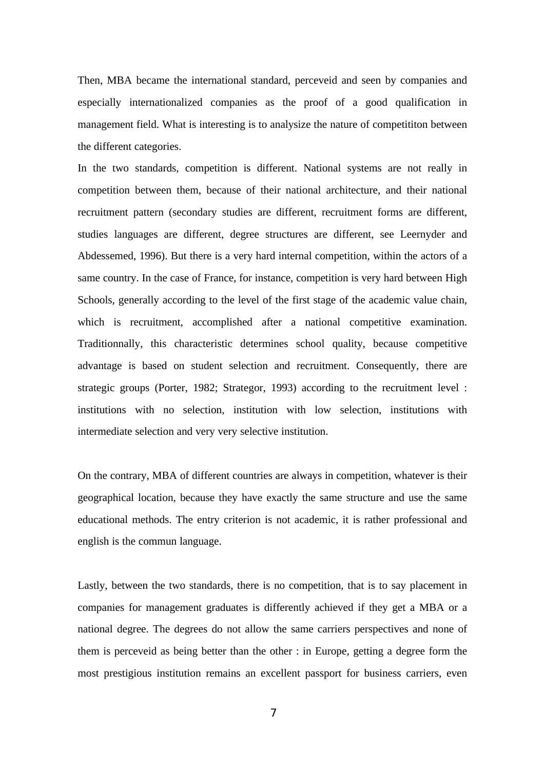Then, MBA became the international standard, perceveid and seen by companies and especially internationalized companies as the proof of a good qualification in management field. What is interesting is to analysize the nature of competititon between the different categories.

In the two standards, competition is different. National systems are not really in competition between them, because of their national architecture, and their national recruitment pattern (secondary studies are different, recruitment forms are different, studies languages are different, degree structures are different, see Leernyder and Abdessemed, 1996). But there is a very hard internal competition, within the actors of a same country. In the case of France, for instance, competition is very hard between High Schools, generally according to the level of the first stage of the academic value chain, which is recruitment, accomplished after a national competitive examination. Traditionnally, this characteristic determines school quality, because competitive advantage is based on student selection and recruitment. Consequently, there are strategic groups (Porter, 1982; Strategor, 1993) according to the recruitment level : institutions with no selection, institution with low selection, institutions with intermediate selection and very very selective institution.

On the contrary, MBA of different countries are always in competition, whatever is their geographical location, because they have exactly the same structure and use the same educational methods. The entry criterion is not academic, it is rather professional and english is the commun language.

Lastly, between the two standards, there is no competition, that is to say placement in companies for management graduates is differently achieved if they get a MBA or a national degree. The degrees do not allow the same carriers perspectives and none of them is perceveid as being better than the other : in Europe, getting a degree form the most prestigious institution remains an excellent passport for business carriers, even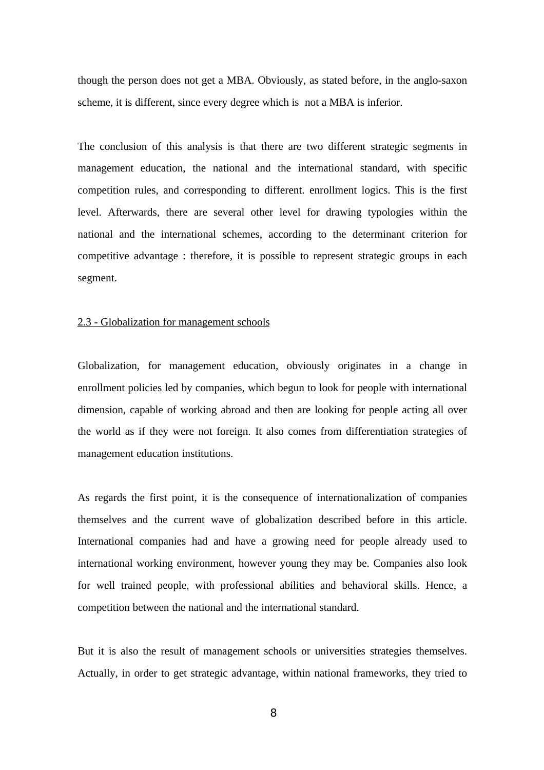though the person does not get a MBA. Obviously, as stated before, in the anglo-saxon scheme, it is different, since every degree which is not a MBA is inferior.

The conclusion of this analysis is that there are two different strategic segments in management education, the national and the international standard, with specific competition rules, and corresponding to different. enrollment logics. This is the first level. Afterwards, there are several other level for drawing typologies within the national and the international schemes, according to the determinant criterion for competitive advantage : therefore, it is possible to represent strategic groups in each segment.

#### 2.3 - Globalization for management schools

Globalization, for management education, obviously originates in a change in enrollment policies led by companies, which begun to look for people with international dimension, capable of working abroad and then are looking for people acting all over the world as if they were not foreign. It also comes from differentiation strategies of management education institutions.

As regards the first point, it is the consequence of internationalization of companies themselves and the current wave of globalization described before in this article. International companies had and have a growing need for people already used to international working environment, however young they may be. Companies also look for well trained people, with professional abilities and behavioral skills. Hence, a competition between the national and the international standard.

But it is also the result of management schools or universities strategies themselves. Actually, in order to get strategic advantage, within national frameworks, they tried to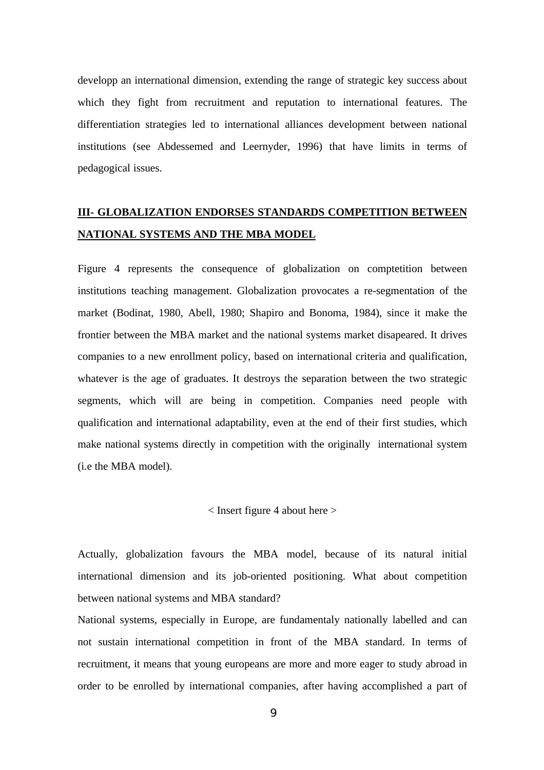developp an international dimension, extending the range of strategic key success about which they fight from recruitment and reputation to international features. The differentiation strategies led to international alliances development between national institutions (see Abdessemed and Leernyder, 1996) that have limits in terms of pedagogical issues.

## **III- GLOBALIZATION ENDORSES STANDARDS COMPETITION BETWEEN NATIONAL SYSTEMS AND THE MBA MODEL**

Figure 4 represents the consequence of globalization on comptetition between institutions teaching management. Globalization provocates a re-segmentation of the market (Bodinat, 1980, Abell, 1980; Shapiro and Bonoma, 1984), since it make the frontier between the MBA market and the national systems market disapeared. It drives companies to a new enrollment policy, based on international criteria and qualification, whatever is the age of graduates. It destroys the separation between the two strategic segments, which will are being in competition. Companies need people with qualification and international adaptability, even at the end of their first studies, which make national systems directly in competition with the originally international system (i.e the MBA model).

< Insert figure 4 about here >

Actually, globalization favours the MBA model, because of its natural initial international dimension and its job-oriented positioning. What about competition between national systems and MBA standard?

National systems, especially in Europe, are fundamentaly nationally labelled and can not sustain international competition in front of the MBA standard. In terms of recruitment, it means that young europeans are more and more eager to study abroad in order to be enrolled by international companies, after having accomplished a part of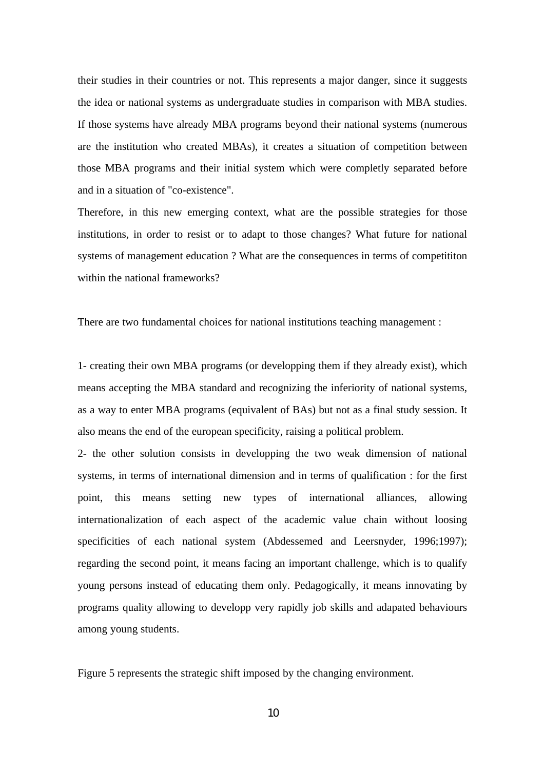their studies in their countries or not. This represents a major danger, since it suggests the idea or national systems as undergraduate studies in comparison with MBA studies. If those systems have already MBA programs beyond their national systems (numerous are the institution who created MBAs), it creates a situation of competition between those MBA programs and their initial system which were completly separated before and in a situation of "co-existence".

Therefore, in this new emerging context, what are the possible strategies for those institutions, in order to resist or to adapt to those changes? What future for national systems of management education ? What are the consequences in terms of competititon within the national frameworks?

There are two fundamental choices for national institutions teaching management :

1- creating their own MBA programs (or developping them if they already exist), which means accepting the MBA standard and recognizing the inferiority of national systems, as a way to enter MBA programs (equivalent of BAs) but not as a final study session. It also means the end of the european specificity, raising a political problem.

2- the other solution consists in developping the two weak dimension of national systems, in terms of international dimension and in terms of qualification : for the first point, this means setting new types of international alliances, allowing internationalization of each aspect of the academic value chain without loosing specificities of each national system (Abdessemed and Leersnyder, 1996;1997); regarding the second point, it means facing an important challenge, which is to qualify young persons instead of educating them only. Pedagogically, it means innovating by programs quality allowing to developp very rapidly job skills and adapated behaviours among young students.

Figure 5 represents the strategic shift imposed by the changing environment.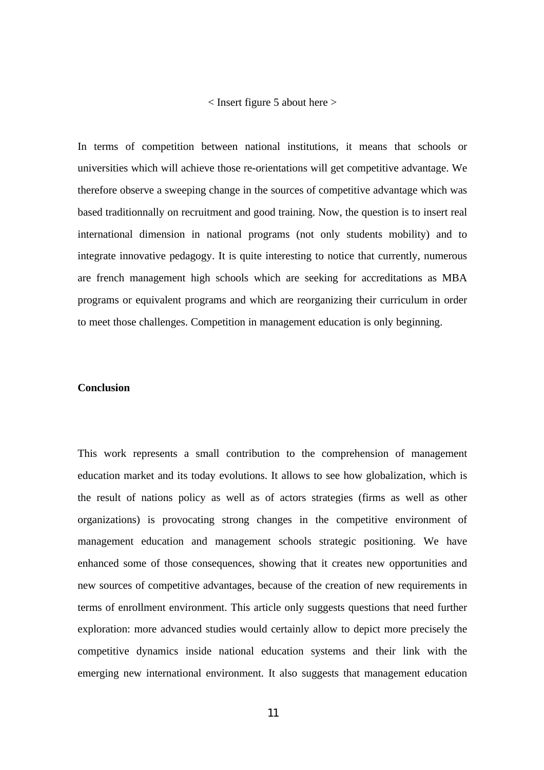#### < Insert figure 5 about here >

In terms of competition between national institutions, it means that schools or universities which will achieve those re-orientations will get competitive advantage. We therefore observe a sweeping change in the sources of competitive advantage which was based traditionnally on recruitment and good training. Now, the question is to insert real international dimension in national programs (not only students mobility) and to integrate innovative pedagogy. It is quite interesting to notice that currently, numerous are french management high schools which are seeking for accreditations as MBA programs or equivalent programs and which are reorganizing their curriculum in order to meet those challenges. Competition in management education is only beginning.

#### **Conclusion**

This work represents a small contribution to the comprehension of management education market and its today evolutions. It allows to see how globalization, which is the result of nations policy as well as of actors strategies (firms as well as other organizations) is provocating strong changes in the competitive environment of management education and management schools strategic positioning. We have enhanced some of those consequences, showing that it creates new opportunities and new sources of competitive advantages, because of the creation of new requirements in terms of enrollment environment. This article only suggests questions that need further exploration: more advanced studies would certainly allow to depict more precisely the competitive dynamics inside national education systems and their link with the emerging new international environment. It also suggests that management education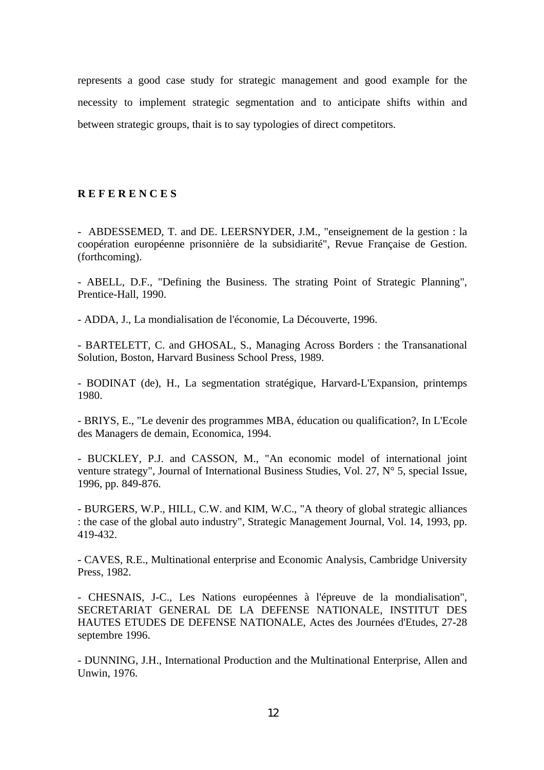represents a good case study for strategic management and good example for the necessity to implement strategic segmentation and to anticipate shifts within and between strategic groups, thait is to say typologies of direct competitors.

## **R E F E R E N C E S**

- ABDESSEMED, T. and DE. LEERSNYDER, J.M., "enseignement de la gestion : la coopération européenne prisonnière de la subsidiarité", Revue Française de Gestion. (forthcoming).

- ABELL, D.F., "Defining the Business. The strating Point of Strategic Planning", Prentice-Hall, 1990.

- ADDA, J., La mondialisation de l'économie, La Découverte, 1996.

- BARTELETT, C. and GHOSAL, S., Managing Across Borders : the Transanational Solution, Boston, Harvard Business School Press, 1989.

- BODINAT (de), H., La segmentation stratégique, Harvard-L'Expansion, printemps 1980.

- BRIYS, E., "Le devenir des programmes MBA, éducation ou qualification?, In L'Ecole des Managers de demain, Economica, 1994.

- BUCKLEY, P.J. and CASSON, M., "An economic model of international joint venture strategy", Journal of International Business Studies, Vol. 27, N° 5, special Issue, 1996, pp. 849-876.

- BURGERS, W.P., HILL, C.W. and KIM, W.C., "A theory of global strategic alliances : the case of the global auto industry", Strategic Management Journal, Vol. 14, 1993, pp. 419-432.

- CAVES, R.E., Multinational enterprise and Economic Analysis, Cambridge University Press, 1982.

- CHESNAIS, J-C., Les Nations européennes à l'épreuve de la mondialisation", SECRETARIAT GENERAL DE LA DEFENSE NATIONALE, INSTITUT DES HAUTES ETUDES DE DEFENSE NATIONALE, Actes des Journées d'Etudes, 27-28 septembre 1996.

- DUNNING, J.H., International Production and the Multinational Enterprise, Allen and Unwin, 1976.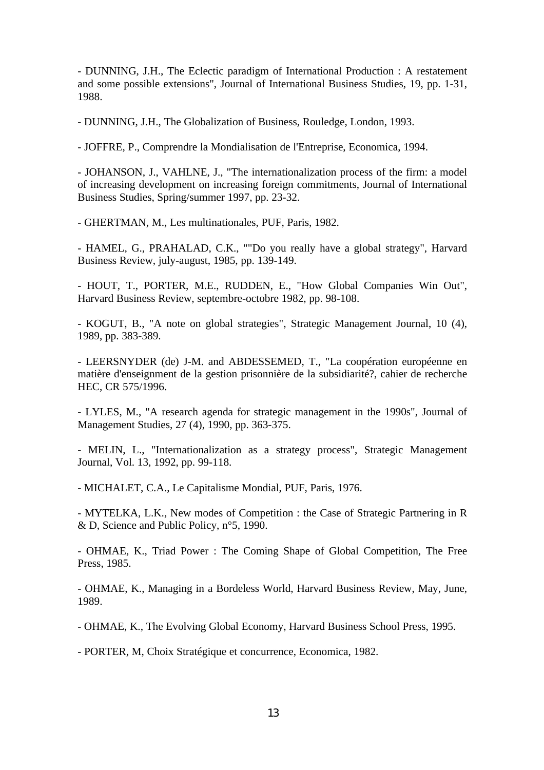- DUNNING, J.H., The Eclectic paradigm of International Production : A restatement and some possible extensions", Journal of International Business Studies, 19, pp. 1-31, 1988.

- DUNNING, J.H., The Globalization of Business, Rouledge, London, 1993.

- JOFFRE, P., Comprendre la Mondialisation de l'Entreprise, Economica, 1994.

- JOHANSON, J., VAHLNE, J., "The internationalization process of the firm: a model of increasing development on increasing foreign commitments, Journal of International Business Studies, Spring/summer 1997, pp. 23-32.

- GHERTMAN, M., Les multinationales, PUF, Paris, 1982.

- HAMEL, G., PRAHALAD, C.K., ""Do you really have a global strategy", Harvard Business Review, july-august, 1985, pp. 139-149.

- HOUT, T., PORTER, M.E., RUDDEN, E., "How Global Companies Win Out", Harvard Business Review, septembre-octobre 1982, pp. 98-108.

- KOGUT, B., "A note on global strategies", Strategic Management Journal, 10 (4), 1989, pp. 383-389.

- LEERSNYDER (de) J-M. and ABDESSEMED, T., "La coopération européenne en matière d'enseignment de la gestion prisonnière de la subsidiarité?, cahier de recherche HEC, CR 575/1996.

- LYLES, M., "A research agenda for strategic management in the 1990s", Journal of Management Studies, 27 (4), 1990, pp. 363-375.

- MELIN, L., "Internationalization as a strategy process", Strategic Management Journal, Vol. 13, 1992, pp. 99-118.

- MICHALET, C.A., Le Capitalisme Mondial, PUF, Paris, 1976.

- MYTELKA, L.K., New modes of Competition : the Case of Strategic Partnering in R & D, Science and Public Policy, n°5, 1990.

- OHMAE, K., Triad Power : The Coming Shape of Global Competition, The Free Press, 1985.

- OHMAE, K., Managing in a Bordeless World, Harvard Business Review, May, June, 1989.

- OHMAE, K., The Evolving Global Economy, Harvard Business School Press, 1995.

- PORTER, M, Choix Stratégique et concurrence, Economica, 1982.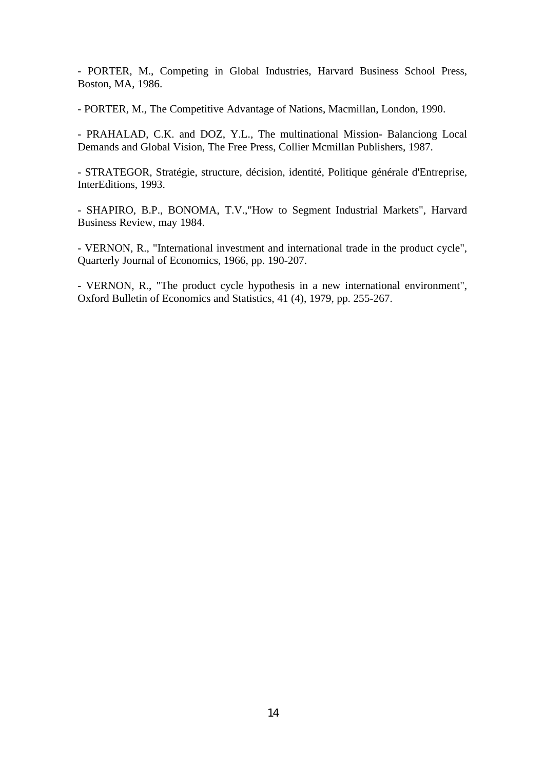- PORTER, M., Competing in Global Industries, Harvard Business School Press, Boston, MA, 1986.

- PORTER, M., The Competitive Advantage of Nations, Macmillan, London, 1990.

- PRAHALAD, C.K. and DOZ, Y.L., The multinational Mission- Balanciong Local Demands and Global Vision, The Free Press, Collier Mcmillan Publishers, 1987.

- STRATEGOR, Stratégie, structure, décision, identité, Politique générale d'Entreprise, InterEditions, 1993.

- SHAPIRO, B.P., BONOMA, T.V.,"How to Segment Industrial Markets", Harvard Business Review, may 1984.

- VERNON, R., "International investment and international trade in the product cycle", Quarterly Journal of Economics, 1966, pp. 190-207.

- VERNON, R., "The product cycle hypothesis in a new international environment", Oxford Bulletin of Economics and Statistics, 41 (4), 1979, pp. 255-267.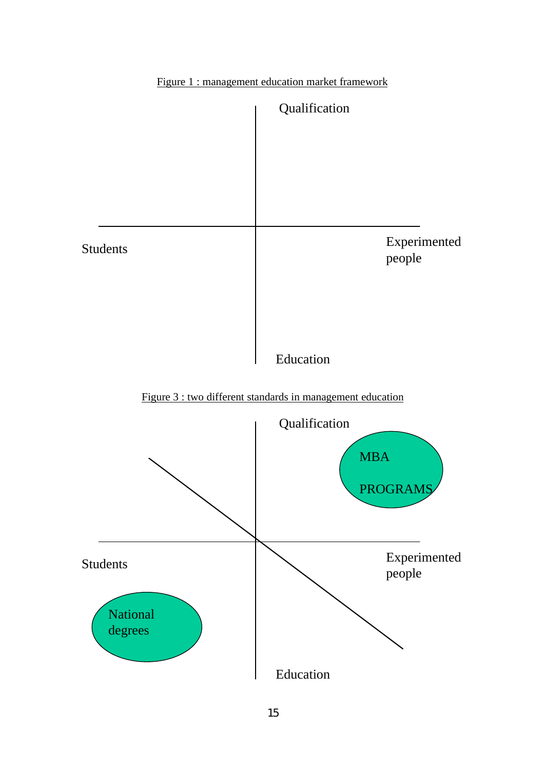

Figure 1 : management education market framework